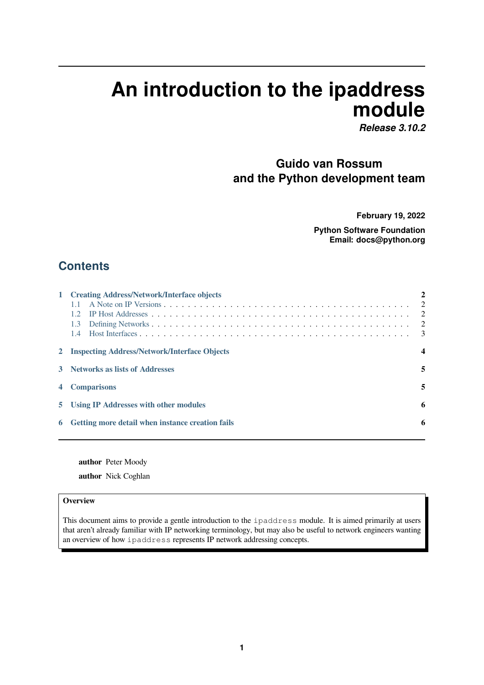# **An introduction to the ipaddress module**

*Release 3.10.2*

# **Guido van Rossum and the Python development team**

**February 19, 2022**

**Python Software Foundation Email: docs@python.org**

# **Contents**

|   | 1 Creating Address/Network/Interface objects<br>1.1.<br>12<br>1.3<br>$1.4^{\circ}$ | $\overline{2}$<br>$\overline{2}$<br>$\overline{2}$<br>$\overline{\mathbf{3}}$ |
|---|------------------------------------------------------------------------------------|-------------------------------------------------------------------------------|
|   | 2 Inspecting Address/Network/Interface Objects                                     | $\boldsymbol{4}$                                                              |
|   | <b>Networks as lists of Addresses</b>                                              | 5                                                                             |
|   | <b>Comparisons</b>                                                                 | 5                                                                             |
| 5 | Using IP Addresses with other modules                                              | 6                                                                             |
|   | <b>Getting more detail when instance creation fails</b>                            | 6                                                                             |
|   |                                                                                    |                                                                               |

**author** [Peter Moody](#page-5-0) **author** Nick Coghlan

#### **Overview**

This document aims to provide a gentle introduction to the ipaddress module. It is aimed primarily at users that aren't already familiar with IP networking terminology, but may also be useful to network engineers wanting an overview of how ipaddress represents IP network addressing concepts.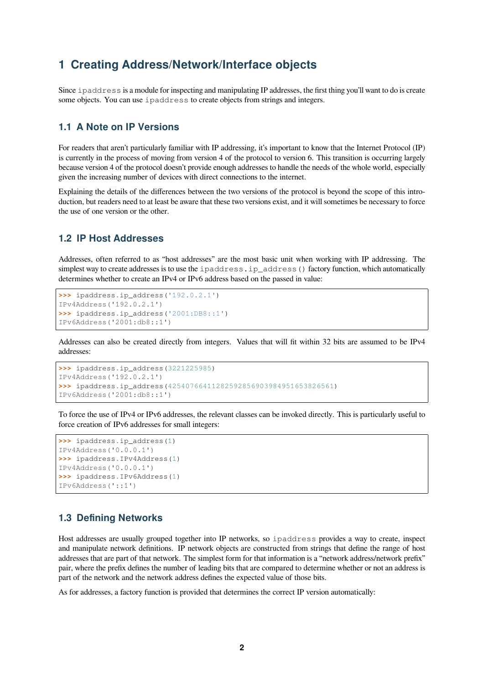# <span id="page-1-0"></span>**1 Creating Address/Network/Interface objects**

Since ipaddress is a module for inspecting and manipulating IP addresses, the first thing you'll want to do is create some objects. You can use ipaddress to create objects from strings and integers.

#### <span id="page-1-1"></span>**1.1 A Note on IP Versions**

For readers that aren't particularly familiar with IP addressing, it's important to know that the Internet Protocol (IP) is currently in the process of moving from version 4 of the protocol to version 6. This transition is occurring largely because version 4 of the protocol doesn't provide enough addresses to handle the needs of the whole world, especially given the increasing number of devices with direct connections to the internet.

Explaining the details of the differences between the two versions of the protocol is beyond the scope of this introduction, but readers need to at least be aware that these two versions exist, and it will sometimes be necessary to force the use of one version or the other.

#### <span id="page-1-2"></span>**1.2 IP Host Addresses**

Addresses, often referred to as "host addresses" are the most basic unit when working with IP addressing. The simplest way to create addresses is to use the ipaddress.ip address() factory function, which automatically determines whether to create an IPv4 or IPv6 address based on the passed in value:

```
>>> ipaddress.ip_address('192.0.2.1')
IPv4Address('192.0.2.1')
>>> ipaddress.ip_address('2001:DB8::1')
IPv6Address('2001:db8::1')
```
Addresses can also be created directly from integers. Values that will fit within 32 bits are assumed to be IPv4 addresses:

```
>>> ipaddress.ip_address(3221225985)
IPv4Address('192.0.2.1')
>>> ipaddress.ip_address(42540766411282592856903984951653826561)
IPv6Address('2001:db8::1')
```
To force the use of IPv4 or IPv6 addresses, the relevant classes can be invoked directly. This is particularly useful to force creation of IPv6 addresses for small integers:

```
>>> ipaddress.ip_address(1)
IPv4Address('0.0.0.1')
>>> ipaddress.IPv4Address(1)
IPv4Address('0.0.0.1')
>>> ipaddress.IPv6Address(1)
IPv6Address('::1')
```
#### <span id="page-1-3"></span>**1.3 Defining Networks**

Host addresses are usually grouped together into IP networks, so ipaddress provides a way to create, inspect and manipulate network definitions. IP network objects are constructed from strings that define the range of host addresses that are part of that network. The simplest form for that information is a "network address/network prefix" pair, where the prefix defines the number of leading bits that are compared to determine whether or not an address is part of the network and the network address defines the expected value of those bits.

As for addresses, a factory function is provided that determines the correct IP version automatically: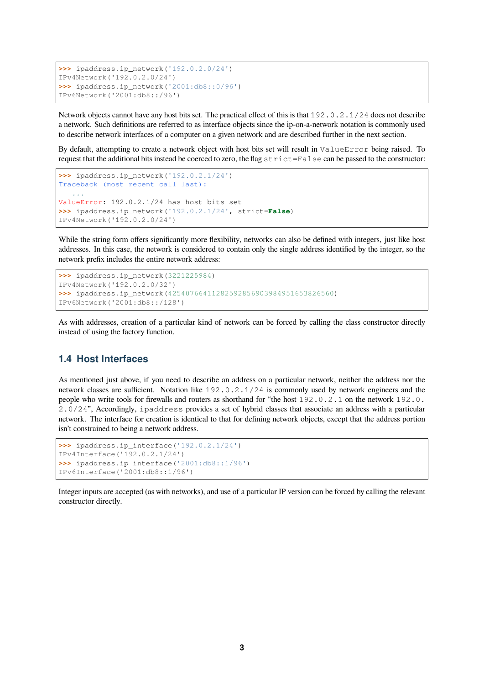```
>>> ipaddress.ip_network('192.0.2.0/24')
IPv4Network('192.0.2.0/24')
>>> ipaddress.ip_network('2001:db8::0/96')
IPv6Network('2001:db8::/96')
```
Network objects cannot have any host bits set. The practical effect of this is that 192.0.2.1/24 does not describe a network. Such definitions are referred to as interface objects since the ip-on-a-network notation is commonly used to describe network interfaces of a computer on a given network and are described further in the next section.

By default, attempting to create a network object with host bits set will result in ValueError being raised. To request that the additional bits instead be coerced to zero, the flag strict=False can be passed to the constructor:

```
>>> ipaddress.ip_network('192.0.2.1/24')
Traceback (most recent call last):
   ...
ValueError: 192.0.2.1/24 has host bits set
>>> ipaddress.ip_network('192.0.2.1/24', strict=False)
IPv4Network('192.0.2.0/24')
```
While the string form offers significantly more flexibility, networks can also be defined with integers, just like host addresses. In this case, the network is considered to contain only the single address identified by the integer, so the network prefix includes the entire network address:

```
>>> ipaddress.ip_network(3221225984)
IPv4Network('192.0.2.0/32')
>>> ipaddress.ip_network(42540766411282592856903984951653826560)
IPv6Network('2001:db8::/128')
```
As with addresses, creation of a particular kind of network can be forced by calling the class constructor directly instead of using the factory function.

#### <span id="page-2-0"></span>**1.4 Host Interfaces**

As mentioned just above, if you need to describe an address on a particular network, neither the address nor the network classes are sufficient. Notation like 192.0.2.1/24 is commonly used by network engineers and the people who write tools for firewalls and routers as shorthand for "the host 192.0.2.1 on the network 192.0. 2.0/24", Accordingly, ipaddress provides a set of hybrid classes that associate an address with a particular network. The interface for creation is identical to that for defining network objects, except that the address portion isn't constrained to being a network address.

```
>>> ipaddress.ip_interface('192.0.2.1/24')
IPv4Interface('192.0.2.1/24')
>>> ipaddress.ip_interface('2001:db8::1/96')
IPv6Interface('2001:db8::1/96')
```
Integer inputs are accepted (as with networks), and use of a particular IP version can be forced by calling the relevant constructor directly.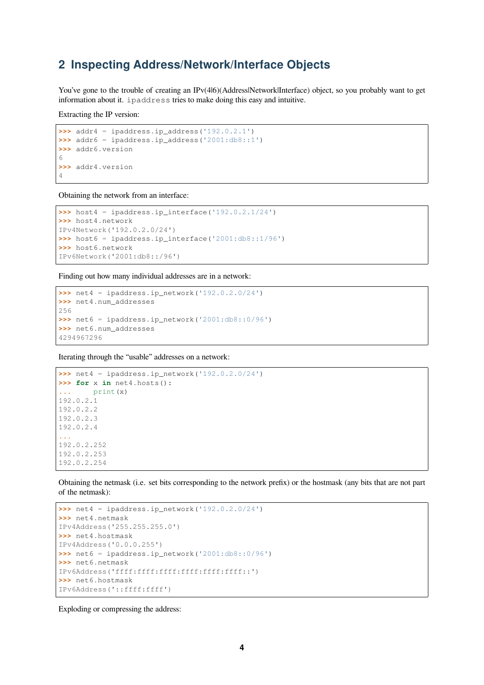# <span id="page-3-0"></span>**2 Inspecting Address/Network/Interface Objects**

You've gone to the trouble of creating an IPv(4|6)(Address|Network|Interface) object, so you probably want to get information about it. ipaddress tries to make doing this easy and intuitive.

Extracting the IP version:

```
>>> addr4 = ipaddress.ip_address('192.0.2.1')
>>> addr6 = ipaddress.ip_address('2001:db8::1')
>>> addr6.version
6
>>> addr4.version
4
```
Obtaining the network from an interface:

```
>>> host4 = ipaddress.ip_interface('192.0.2.1/24')
>>> host4.network
IPv4Network('192.0.2.0/24')
>>> host6 = ipaddress.ip_interface('2001:db8::1/96')
>>> host6.network
IPv6Network('2001:db8::/96')
```
Finding out how many individual addresses are in a network:

```
>>> net4 = ipaddress.ip_network('192.0.2.0/24')
>>> net4.num_addresses
256
\Rightarrow net6 = ipaddress.ip network('2001:db8::0/96')
>>> net6.num_addresses
4294967296
```
Iterating through the "usable" addresses on a network:

```
>>> net4 = ipaddress.ip_network('192.0.2.0/24')
>>> for x in net4.hosts():
    ... print(x)
192.0.2.1
192.0.2.2
192.0.2.3
192.0.2.4
...
192.0.2.252
192.0.2.253
192.0.2.254
```
Obtaining the netmask (i.e. set bits corresponding to the network prefix) or the hostmask (any bits that are not part of the netmask):

```
>>> net4 = ipaddress.ip_network('192.0.2.0/24')
>>> net4.netmask
IPv4Address('255.255.255.0')
>>> net4.hostmask
IPv4Address('0.0.0.255')
>>> net6 = ipaddress.ip_network('2001:db8::0/96')
>>> net6.netmask
IPv6Address('ffff:ffff:ffff:ffff:ffff:ffff::')
>>> net6.hostmask
IPv6Address('::ffff:ffff')
```
Exploding or compressing the address: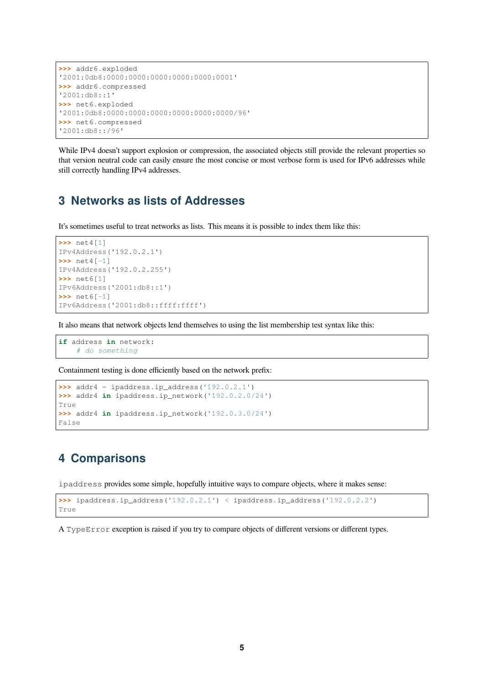```
>>> addr6.exploded
'2001:0db8:0000:0000:0000:0000:0000:0001'
>>> addr6.compressed
'2001:db8::1'
>>> net6.exploded
'2001:0db8:0000:0000:0000:0000:0000:0000/96'
>>> net6.compressed
'2001:db8::/96'
```
While IPv4 doesn't support explosion or compression, the associated objects still provide the relevant properties so that version neutral code can easily ensure the most concise or most verbose form is used for IPv6 addresses while still correctly handling IPv4 addresses.

# <span id="page-4-0"></span>**3 Networks as lists of Addresses**

It's sometimes useful to treat networks as lists. This means it is possible to index them like this:

```
>>> net4[1]
IPv4Address('192.0.2.1')
>>> net4[-1]
IPv4Address('192.0.2.255')
>>> net6[1]
IPv6Address('2001:db8::1')
>>> net6[-1]
IPv6Address('2001:db8::ffff:ffff')
```
It also means that network objects lend themselves to using the list membership test syntax like this:

```
if address in network:
    # do something
```
Containment testing is done efficiently based on the network prefix:

```
>>> addr4 = ipaddress.ip_address('192.0.2.1')
>>> addr4 in ipaddress.ip_network('192.0.2.0/24')
True
>>> addr4 in ipaddress.ip_network('192.0.3.0/24')
False
```
# <span id="page-4-1"></span>**4 Comparisons**

ipaddress provides some simple, hopefully intuitive ways to compare objects, where it makes sense:

```
>>> ipaddress.ip_address('192.0.2.1') < ipaddress.ip_address('192.0.2.2')
True
```
A TypeError exception is raised if you try to compare objects of different versions or different types.